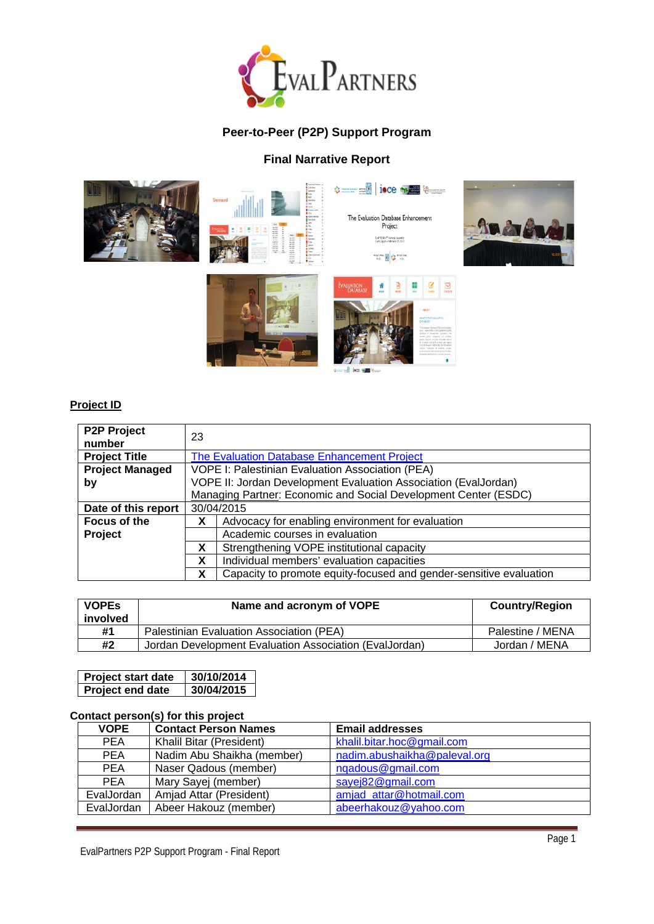

# **Peer-to-Peer (P2P) Support Program**

## **Final Narrative Report**





The Evaluation Database Enhancement<br>Project -<br>EuthBAN<sup>a</sup> Genesi Aweniliy<br>Civis,Egyet-Felmey 25,2015 **Australia** Ballis

 $\hat{\mathbf{v}} = -\frac{\mathbf{v}}{\mathbf{v}}$  isce with  $\hat{\mathbf{v}}$ 







## **Project ID**

| <b>P2P Project</b>     |                                                                         |  |
|------------------------|-------------------------------------------------------------------------|--|
| number                 | 23                                                                      |  |
| <b>Project Title</b>   | The Evaluation Database Enhancement Project                             |  |
| <b>Project Managed</b> | VOPE I: Palestinian Evaluation Association (PEA)                        |  |
| by                     | VOPE II: Jordan Development Evaluation Association (EvalJordan)         |  |
|                        | Managing Partner: Economic and Social Development Center (ESDC)         |  |
| Date of this report    | 30/04/2015                                                              |  |
| Focus of the           | Advocacy for enabling environment for evaluation<br>x                   |  |
| Project                | Academic courses in evaluation                                          |  |
|                        | Strengthening VOPE institutional capacity<br>X                          |  |
|                        | Individual members' evaluation capacities<br>X                          |  |
|                        | Capacity to promote equity-focused and gender-sensitive evaluation<br>X |  |

| <b>VOPES</b><br>involved | Name and acronym of VOPE                               | <b>Country/Region</b> |
|--------------------------|--------------------------------------------------------|-----------------------|
| #1                       | Palestinian Evaluation Association (PEA)               | Palestine / MENA      |
| #2                       | Jordan Development Evaluation Association (EvalJordan) | Jordan / MENA         |

| Project start date      | 30/10/2014 |
|-------------------------|------------|
| <b>Project end date</b> | 30/04/2015 |

### **Contact person(s) for this project**

| <b>VOPE</b> | <b>Contact Person Names</b> | <b>Email addresses</b>       |
|-------------|-----------------------------|------------------------------|
| <b>PEA</b>  | Khalil Bitar (President)    | khalil.bitar.hoc@gmail.com   |
| <b>PEA</b>  | Nadim Abu Shaikha (member)  | nadim.abushaikha@paleval.org |
| <b>PEA</b>  | Naser Qadous (member)       | ngadous@gmail.com            |
| <b>PEA</b>  | Mary Sayej (member)         | sayej82@gmail.com            |
| EvalJordan  | Amjad Attar (President)     | amjad attar@hotmail.com      |
| EvalJordan  | Abeer Hakouz (member)       | abeerhakouz@yahoo.com        |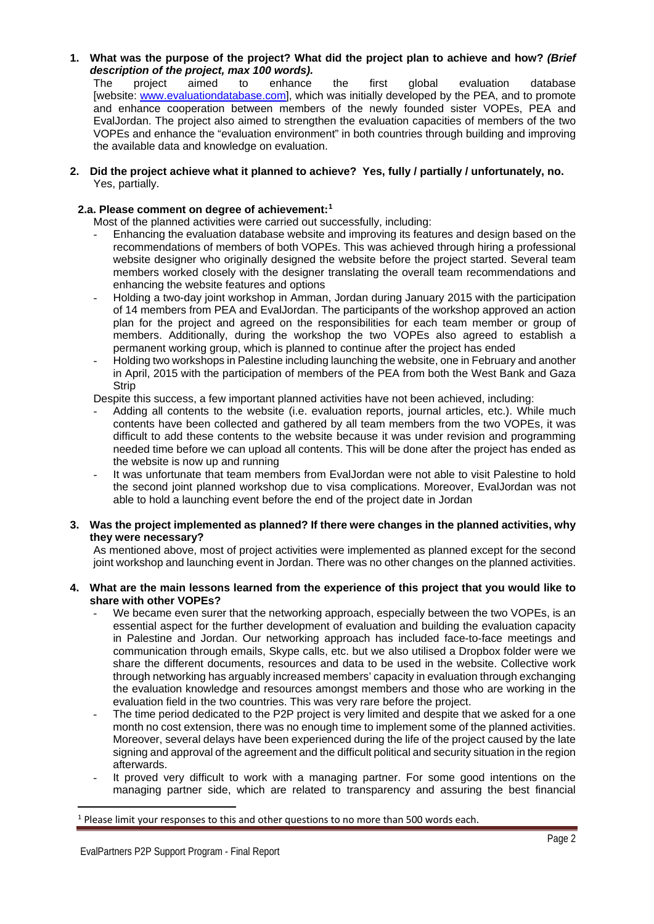# **1. What was the purpose of the project? What did the project plan to achieve and how?** *(Brief*

*description of the project, max 100 words).* The project aimed to enhance the first global evaluation database [website: [www.evaluationdatabase.com\]](http://www.evaluationdatabase.com/), which was initially developed by the PEA, and to promote and enhance cooperation between members of the newly founded sister VOPEs, PEA and EvalJordan. The project also aimed to strengthen the evaluation capacities of members of the two VOPEs and enhance the "evaluation environment" in both countries through building and improving the available data and knowledge on evaluation.

#### **2. Did the project achieve what it planned to achieve? Yes, fully / partially / unfortunately, no.** Yes, partially.

#### **2.a. Please comment on degree of achievement:[1](#page-1-0)**

Most of the planned activities were carried out successfully, including:

- Enhancing the evaluation database website and improving its features and design based on the recommendations of members of both VOPEs. This was achieved through hiring a professional website designer who originally designed the website before the project started. Several team members worked closely with the designer translating the overall team recommendations and enhancing the website features and options
- Holding a two-day joint workshop in Amman, Jordan during January 2015 with the participation of 14 members from PEA and EvalJordan. The participants of the workshop approved an action plan for the project and agreed on the responsibilities for each team member or group of members. Additionally, during the workshop the two VOPEs also agreed to establish a permanent working group, which is planned to continue after the project has ended
- Holding two workshops in Palestine including launching the website, one in February and another in April, 2015 with the participation of members of the PEA from both the West Bank and Gaza **Strip**

Despite this success, a few important planned activities have not been achieved, including:

- Adding all contents to the website (i.e. evaluation reports, journal articles, etc.). While much contents have been collected and gathered by all team members from the two VOPEs, it was difficult to add these contents to the website because it was under revision and programming needed time before we can upload all contents. This will be done after the project has ended as the website is now up and running
- It was unfortunate that team members from EvalJordan were not able to visit Palestine to hold the second joint planned workshop due to visa complications. Moreover, EvalJordan was not able to hold a launching event before the end of the project date in Jordan

#### **3. Was the project implemented as planned? If there were changes in the planned activities, why they were necessary?**

As mentioned above, most of project activities were implemented as planned except for the second joint workshop and launching event in Jordan. There was no other changes on the planned activities.

#### **4. What are the main lessons learned from the experience of this project that you would like to share with other VOPEs?**

- We became even surer that the networking approach, especially between the two VOPEs, is an essential aspect for the further development of evaluation and building the evaluation capacity in Palestine and Jordan. Our networking approach has included face-to-face meetings and communication through emails, Skype calls, etc. but we also utilised a Dropbox folder were we share the different documents, resources and data to be used in the website. Collective work through networking has arguably increased members' capacity in evaluation through exchanging the evaluation knowledge and resources amongst members and those who are working in the evaluation field in the two countries. This was very rare before the project.
- The time period dedicated to the P2P project is very limited and despite that we asked for a one month no cost extension, there was no enough time to implement some of the planned activities. Moreover, several delays have been experienced during the life of the project caused by the late signing and approval of the agreement and the difficult political and security situation in the region afterwards.
- It proved very difficult to work with a managing partner. For some good intentions on the managing partner side, which are related to transparency and assuring the best financial

 $\overline{a}$ 

<span id="page-1-0"></span><sup>1</sup> Please limit your responses to this and other questions to no more than 500 words each.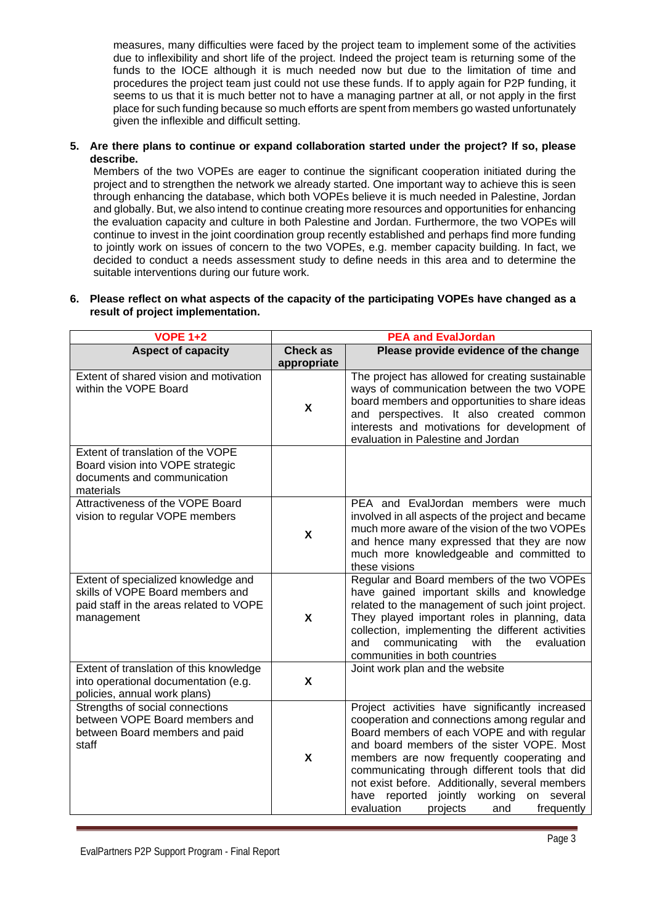measures, many difficulties were faced by the project team to implement some of the activities due to inflexibility and short life of the project. Indeed the project team is returning some of the funds to the IOCE although it is much needed now but due to the limitation of time and procedures the project team just could not use these funds. If to apply again for P2P funding, it seems to us that it is much better not to have a managing partner at all, or not apply in the first place for such funding because so much efforts are spent from members go wasted unfortunately given the inflexible and difficult setting.

**5. Are there plans to continue or expand collaboration started under the project? If so, please describe.**

Members of the two VOPEs are eager to continue the significant cooperation initiated during the project and to strengthen the network we already started. One important way to achieve this is seen through enhancing the database, which both VOPEs believe it is much needed in Palestine, Jordan and globally. But, we also intend to continue creating more resources and opportunities for enhancing the evaluation capacity and culture in both Palestine and Jordan. Furthermore, the two VOPEs will continue to invest in the joint coordination group recently established and perhaps find more funding to jointly work on issues of concern to the two VOPEs, e.g. member capacity building. In fact, we decided to conduct a needs assessment study to define needs in this area and to determine the suitable interventions during our future work.

**6. Please reflect on what aspects of the capacity of the participating VOPEs have changed as a result of project implementation.**

| <b>VOPE 1+2</b>                                                                                                                  | <b>PEA and EvalJordan</b>      |                                                                                                                                                                                                                                                                                                                                                                                                                                             |
|----------------------------------------------------------------------------------------------------------------------------------|--------------------------------|---------------------------------------------------------------------------------------------------------------------------------------------------------------------------------------------------------------------------------------------------------------------------------------------------------------------------------------------------------------------------------------------------------------------------------------------|
| <b>Aspect of capacity</b>                                                                                                        | <b>Check as</b><br>appropriate | Please provide evidence of the change                                                                                                                                                                                                                                                                                                                                                                                                       |
| Extent of shared vision and motivation<br>within the VOPE Board                                                                  | X                              | The project has allowed for creating sustainable<br>ways of communication between the two VOPE<br>board members and opportunities to share ideas<br>and perspectives. It also created common<br>interests and motivations for development of<br>evaluation in Palestine and Jordan                                                                                                                                                          |
| Extent of translation of the VOPE<br>Board vision into VOPE strategic<br>documents and communication<br>materials                |                                |                                                                                                                                                                                                                                                                                                                                                                                                                                             |
| Attractiveness of the VOPE Board<br>vision to regular VOPE members                                                               | X                              | PEA and EvalJordan members were much<br>involved in all aspects of the project and became<br>much more aware of the vision of the two VOPEs<br>and hence many expressed that they are now<br>much more knowledgeable and committed to<br>these visions                                                                                                                                                                                      |
| Extent of specialized knowledge and<br>skills of VOPE Board members and<br>paid staff in the areas related to VOPE<br>management | X                              | Regular and Board members of the two VOPEs<br>have gained important skills and knowledge<br>related to the management of such joint project.<br>They played important roles in planning, data<br>collection, implementing the different activities<br>communicating<br>with<br>the<br>evaluation<br>and<br>communities in both countries                                                                                                    |
| Extent of translation of this knowledge<br>into operational documentation (e.g.<br>policies, annual work plans)                  | X                              | Joint work plan and the website                                                                                                                                                                                                                                                                                                                                                                                                             |
| Strengths of social connections<br>between VOPE Board members and<br>between Board members and paid<br>staff                     | X                              | Project activities have significantly increased<br>cooperation and connections among regular and<br>Board members of each VOPE and with regular<br>and board members of the sister VOPE. Most<br>members are now frequently cooperating and<br>communicating through different tools that did<br>not exist before. Additionally, several members<br>have reported jointly working on several<br>evaluation<br>projects<br>frequently<br>and |